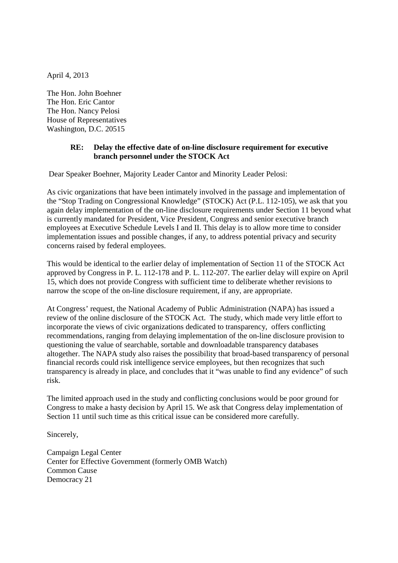April 4, 2013

The Hon. John Boehner The Hon. Eric Cantor The Hon. Nancy Pelosi House of Representatives Washington, D.C. 20515

## **RE: Delay the effective date of on-line disclosure requirement for executive branch personnel under the STOCK Act**

Dear Speaker Boehner, Majority Leader Cantor and Minority Leader Pelosi:

As civic organizations that have been intimately involved in the passage and implementation of the "Stop Trading on Congressional Knowledge" (STOCK) Act (P.L. 112-105), we ask that you again delay implementation of the on-line disclosure requirements under Section 11 beyond what is currently mandated for President, Vice President, Congress and senior executive branch employees at Executive Schedule Levels I and II. This delay is to allow more time to consider implementation issues and possible changes, if any, to address potential privacy and security concerns raised by federal employees.

This would be identical to the earlier delay of implementation of Section 11 of the STOCK Act approved by Congress in P. L. 112-178 and P. L. 112-207. The earlier delay will expire on April 15, which does not provide Congress with sufficient time to deliberate whether revisions to narrow the scope of the on-line disclosure requirement, if any, are appropriate.

At Congress' request, the National Academy of Public Administration (NAPA) has issued a review of the online disclosure of the STOCK Act. The study, which made very little effort to incorporate the views of civic organizations dedicated to transparency, offers conflicting recommendations, ranging from delaying implementation of the on-line disclosure provision to questioning the value of searchable, sortable and downloadable transparency databases altogether. The NAPA study also raises the possibility that broad-based transparency of personal financial records could risk intelligence service employees, but then recognizes that such transparency is already in place, and concludes that it "was unable to find any evidence" of such risk.

The limited approach used in the study and conflicting conclusions would be poor ground for Congress to make a hasty decision by April 15. We ask that Congress delay implementation of Section 11 until such time as this critical issue can be considered more carefully.

Sincerely,

Campaign Legal Center Center for Effective Government (formerly OMB Watch) Common Cause Democracy 21